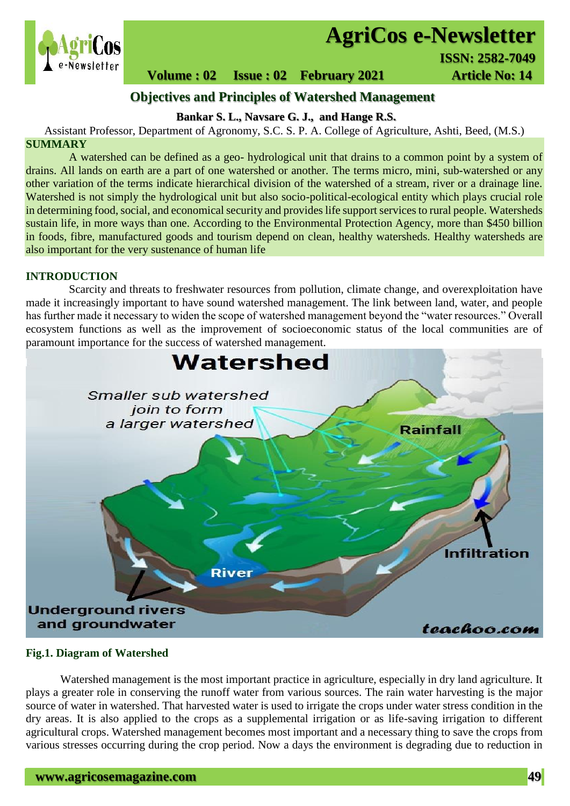

# **AgriCos e-Newsletter**

**Volume : 02 Issue : 02 February 2021 Article No: 14** 

# **Objectives and Principles of Watershed Management**

**Bankar S. L., Navsare G. J., and Hange R.S.**

Assistant Professor, Department of Agronomy, S.C. S. P. A. College of Agriculture, Ashti, Beed, (M.S.)

#### **SUMMARY**

 A watershed can be defined as a geo- hydrological unit that drains to a common point by a system of drains. All lands on earth are a part of one watershed or another. The terms micro, mini, sub-watershed or any other variation of the terms indicate hierarchical division of the watershed of a stream, river or a drainage line. Watershed is not simply the hydrological unit but also socio-political-ecological entity which plays crucial role in determining food, social, and economical security and provides life support services to rural people. Watersheds sustain life, in more ways than one. According to the Environmental Protection Agency, more than \$450 billion in foods, fibre, manufactured goods and tourism depend on clean, healthy watersheds. Healthy watersheds are also important for the very sustenance of human life

#### **INTRODUCTION**

Scarcity and threats to freshwater resources from pollution, climate change, and overexploitation have made it increasingly important to have sound watershed management. The link between land, water, and people has further made it necessary to widen the scope of watershed management beyond the "water resources." Overall ecosystem functions as well as the improvement of socioeconomic status of the local communities are of paramount importance for the success of watershed management.



#### **Fig.1. Diagram of Watershed**

Watershed management is the most important practice in agriculture, especially in dry land agriculture. It plays a greater role in conserving the runoff water from various sources. The rain water harvesting is the major source of water in watershed. That harvested water is used to irrigate the crops under water stress condition in the dry areas. It is also applied to the crops as a supplemental irrigation or as life-saving irrigation to different agricultural crops. Watershed management becomes most important and a necessary thing to save the crops from various stresses occurring during the crop period. Now a days the environment is degrading due to reduction in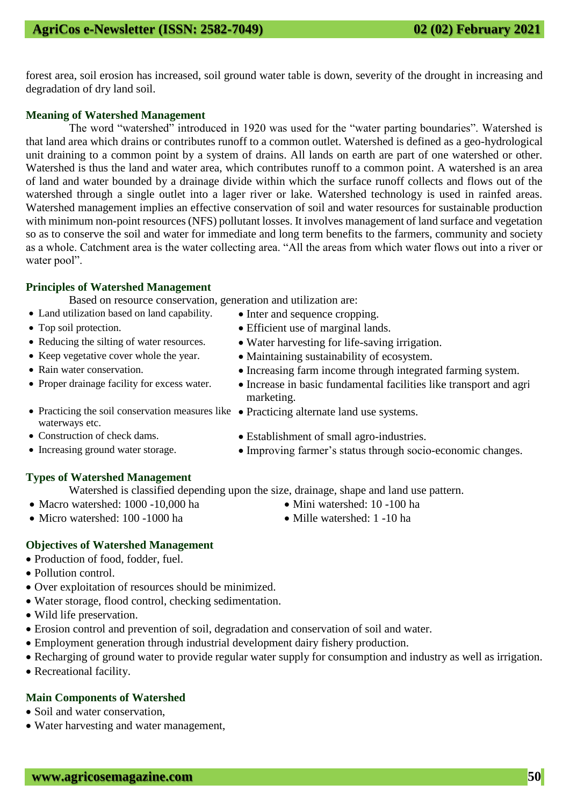forest area, soil erosion has increased, soil ground water table is down, severity of the drought in increasing and degradation of dry land soil.

### **Meaning of Watershed Management**

The word "watershed" introduced in 1920 was used for the "water parting boundaries". Watershed is that land area which drains or contributes runoff to a common outlet. Watershed is defined as a geo-hydrological unit draining to a common point by a system of drains. All lands on earth are part of one watershed or other. Watershed is thus the land and water area, which contributes runoff to a common point. A watershed is an area of land and water bounded by a drainage divide within which the surface runoff collects and flows out of the watershed through a single outlet into a lager river or lake. Watershed technology is used in rainfed areas. Watershed management implies an effective conservation of soil and water resources for sustainable production with minimum non-point resources (NFS) pollutant losses. It involves management of land surface and vegetation so as to conserve the soil and water for immediate and long term benefits to the farmers, community and society as a whole. Catchment area is the water collecting area. "All the areas from which water flows out into a river or water pool".

#### **Principles of Watershed Management**

Based on resource conservation, generation and utilization are:

- Land utilization based on land capability. Inter and sequence cropping.
- Top soil protection. <br>• Efficient use of marginal lands.
- Reducing the silting of water resources. Water harvesting for life-saving irrigation.
- Keep vegetative cover whole the year. Maintaining sustainability of ecosystem.
- Rain water conservation. Increasing farm income through integrated farming system.
- Proper drainage facility for excess water. Increase in basic fundamental facilities like transport and agri marketing.
- Practicing the soil conservation measures like Practicing alternate land use systems.
- Construction of check dams. Establishment of small agro-industries.
- Increasing ground water storage.  $\bullet$  Improving farmer's status through socio-economic changes.

## **Types of Watershed Management**

Watershed is classified depending upon the size, drainage, shape and land use pattern.

- Macro watershed: 1000 -10,000 ha Mini watershed: 10 -100 ha
- Micro watershed: 100 -1000 ha Mille watershed: 1 -10 ha

## **Objectives of Watershed Management**

- Production of food, fodder, fuel.
- Pollution control.

waterways etc.

- Over exploitation of resources should be minimized.
- Water storage, flood control, checking sedimentation.
- Wild life preservation.
- Erosion control and prevention of soil, degradation and conservation of soil and water.
- Employment generation through industrial development dairy fishery production.
- Recharging of ground water to provide regular water supply for consumption and industry as well as irrigation.
- Recreational facility.

## **Main Components of Watershed**

- Soil and water conservation,
- Water harvesting and water management,
- 
-